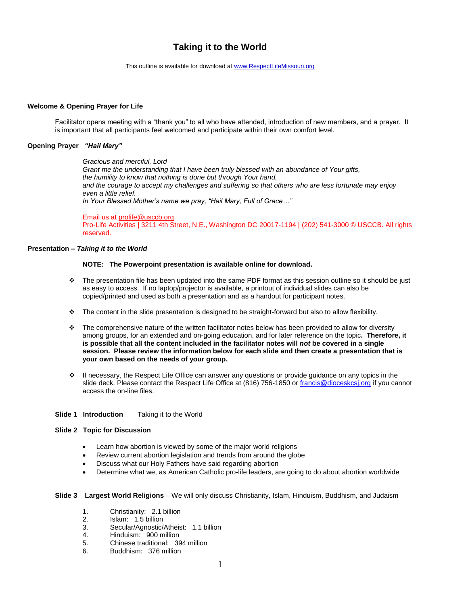# **Taking it to the World**

This outline is available for download at [www.RespectLifeMissouri.org](http://www.respectlifemissouri.org/)

## **Welcome & Opening Prayer for Life**

Facilitator opens meeting with a "thank you" to all who have attended, introduction of new members, and a prayer. It is important that all participants feel welcomed and participate within their own comfort level.

## **Opening Prayer** *"Hail Mary"*

*Gracious and merciful, Lord Grant me the understanding that I have been truly blessed with an abundance of Your gifts, the humility to know that nothing is done but through Your hand, and the courage to accept my challenges and suffering so that others who are less fortunate may enjoy even a little relief. In Your Blessed Mother's name we pray, "Hail Mary, Full of Grace…"*

Email us at [prolife@usccb.org](mailto:prolife@usccb.org) Pro-Life Activities | 3211 4th Street, N.E., Washington DC 20017-1194 | (202) 541-3000 © USCCB. All rights reserved.

# **Presentation –** *Taking it to the World*

## **NOTE: The Powerpoint presentation is available online for download.**

- The presentation file has been updated into the same PDF format as this session outline so it should be just as easy to access. If no laptop/projector is available, a printout of individual slides can also be copied/printed and used as both a presentation and as a handout for participant notes.
- The content in the slide presentation is designed to be straight-forward but also to allow flexibility.
- \* The comprehensive nature of the written facilitator notes below has been provided to allow for diversity among groups, for an extended and on-going education, and for later reference on the topic**. Therefore, it is possible that all the content included in the facilitator notes will** *not* **be covered in a single session. Please review the information below for each slide and then create a presentation that is your own based on the needs of your group.**
- $\div$  If necessary, the Respect Life Office can answer any questions or provide guidance on any topics in the slide deck. Please contact the Respect Life Office at (816) 756-1850 o[r francis@dioceskcsj.org](mailto:francis@dioceskcsj.org) if you cannot access the on-line files.

# **Slide 1 Introduction** Taking it to the World

#### **Slide 2 Topic for Discussion**

- Learn how abortion is viewed by some of the major world religions
- Review current abortion legislation and trends from around the globe
- Discuss what our Holy Fathers have said regarding abortion
- Determine what we, as American Catholic pro-life leaders, are going to do about abortion worldwide
- **Slide 3 Largest World Religions** We will only discuss Christianity, Islam, Hinduism, Buddhism, and Judaism
	- 1. Christianity: 2.1 billion<br>2. Islam: 1.5 billion
	- Islam: 1.5 billion
	- 3. Secular/Agnostic/Atheist: 1.1 billion
	- 4. Hinduism: 900 million
	- 5. Chinese traditional: 394 million
	- 6. Buddhism: 376 million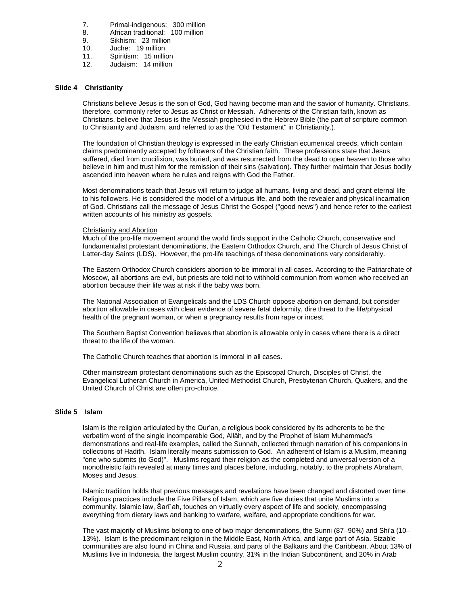- 7. Primal-indigenous: 300 million
- 8. African traditional: 100 million
- 9. Sikhism: 23 million
- 10. Juche: 19 million
- 11. Spiritism: 15 million
- 12. Judaism: 14 million

# **Slide 4 Christianity**

Christians believe Jesus is the son of God, God having become man and the savior of humanity. Christians, therefore, commonly refer to Jesus as Christ or Messiah. Adherents of the Christian faith, known as Christians, believe that Jesus is the Messiah prophesied in the Hebrew Bible (the part of scripture common to Christianity and Judaism, and referred to as the "Old Testament" in Christianity.).

The foundation of Christian theology is expressed in the early Christian ecumenical creeds, which contain claims predominantly accepted by followers of the Christian faith. These professions state that Jesus suffered, died from crucifixion, was buried, and was resurrected from the dead to open heaven to those who believe in him and trust him for the remission of their sins (salvation). They further maintain that Jesus bodily ascended into heaven where he rules and reigns with God the Father.

Most denominations teach that Jesus will return to judge all humans, living and dead, and grant eternal life to his followers. He is considered the model of a virtuous life, and both the revealer and physical incarnation of God. Christians call the message of Jesus Christ the Gospel ("good news") and hence refer to the earliest written accounts of his ministry as gospels.

## Christianity and Abortion

Much of the pro-life movement around the world finds support in the Catholic Church, conservative and fundamentalist protestant denominations, the Eastern Orthodox Church, and The Church of Jesus Christ of Latter-day Saints (LDS). However, the pro-life teachings of these denominations vary considerably.

The Eastern Orthodox Church considers abortion to be immoral in all cases. According to the Patriarchate of Moscow, all abortions are evil, but priests are told not to withhold communion from women who received an abortion because their life was at risk if the baby was born.

The National Association of Evangelicals and the LDS Church oppose abortion on demand, but consider abortion allowable in cases with clear evidence of severe fetal deformity, dire threat to the life/physical health of the pregnant woman, or when a pregnancy results from rape or incest.

The Southern Baptist Convention believes that abortion is allowable only in cases where there is a direct threat to the life of the woman.

The Catholic Church teaches that abortion is immoral in all cases.

Other mainstream protestant denominations such as the Episcopal Church, Disciples of Christ, the Evangelical Lutheran Church in America, United Methodist Church, Presbyterian Church, Quakers, and the United Church of Christ are often pro-choice.

# **Slide 5 Islam**

Islam is the religion articulated by the Qur'an, a religious book considered by its adherents to be the verbatim word of the single incomparable God, Allāh, and by the Prophet of Islam Muhammad's demonstrations and real-life examples, called the Sunnah, collected through narration of his companions in collections of Hadith. Islam literally means submission to God. An adherent of Islam is a Muslim, meaning "one who submits (to God)". Muslims regard their religion as the completed and universal version of a monotheistic faith revealed at many times and places before, including, notably, to the prophets Abraham, Moses and Jesus.

Islamic tradition holds that previous messages and revelations have been changed and distorted over time. Religious practices include the Five Pillars of Islam, which are five duties that unite Muslims into a community. Islamic law, Šarīʿah, touches on virtually every aspect of life and society, encompassing everything from dietary laws and banking to warfare, welfare, and appropriate conditions for war.

The vast majority of Muslims belong to one of two major denominations, the Sunni (87–90%) and Shi'a (10– 13%). Islam is the predominant religion in the Middle East, North Africa, and large part of Asia. Sizable communities are also found in China and Russia, and parts of the Balkans and the Caribbean. About 13% of Muslims live in Indonesia, the largest Muslim country, 31% in the Indian Subcontinent, and 20% in Arab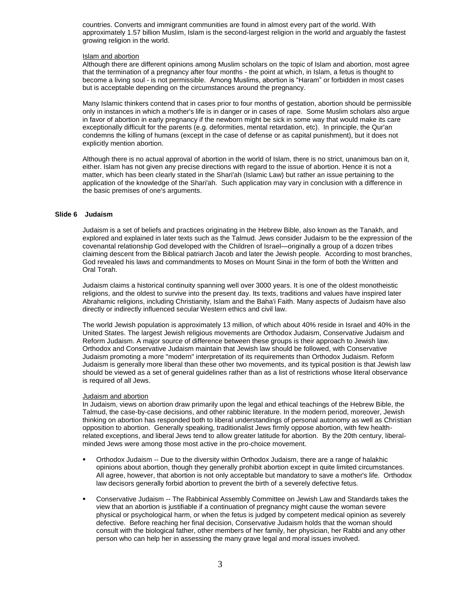countries. Converts and immigrant communities are found in almost every part of the world. With approximately 1.57 billion Muslim, Islam is the second-largest religion in the world and arguably the fastest growing religion in the world.

## Islam and abortion

Although there are different opinions among Muslim scholars on the topic of Islam and abortion, most agree that the termination of a pregnancy after four months - the point at which, in Islam, a fetus is thought to become a living soul - is not permissible. Among Muslims, abortion is "Haram" or forbidden in most cases but is acceptable depending on the circumstances around the pregnancy.

Many Islamic thinkers contend that in cases prior to four months of gestation, abortion should be permissible only in instances in which a mother's life is in danger or in cases of rape. Some Muslim scholars also argue in favor of abortion in early pregnancy if the newborn might be sick in some way that would make its care exceptionally difficult for the parents (e.g. deformities, mental retardation, etc). In principle, the Qur'an condemns the killing of humans (except in the case of defense or as capital punishment), but it does not explicitly mention abortion.

Although there is no actual approval of abortion in the world of Islam, there is no strict, unanimous ban on it, either. Islam has not given any precise directions with regard to the issue of abortion. Hence it is not a matter, which has been clearly stated in the Shari'ah (Islamic Law) but rather an issue pertaining to the application of the knowledge of the Shari'ah. Such application may vary in conclusion with a difference in the basic premises of one's arguments.

# **Slide 6 Judaism**

Judaism is a set of beliefs and practices originating in the Hebrew Bible, also known as the Tanakh, and explored and explained in later texts such as the Talmud. Jews consider Judaism to be the expression of the covenantal relationship God developed with the Children of Israel—originally a group of a dozen tribes claiming descent from the Biblical patriarch Jacob and later the Jewish people. According to most branches, God revealed his laws and commandments to Moses on Mount Sinai in the form of both the Written and Oral Torah.

Judaism claims a historical continuity spanning well over 3000 years. It is one of the oldest monotheistic religions, and the oldest to survive into the present day. Its texts, traditions and values have inspired later Abrahamic religions, including Christianity, Islam and the Baha'i Faith. Many aspects of Judaism have also directly or indirectly influenced secular Western ethics and civil law.

The world Jewish population is approximately 13 million, of which about 40% reside in Israel and 40% in the United States. The largest Jewish religious movements are Orthodox Judaism, Conservative Judaism and Reform Judaism. A major source of difference between these groups is their approach to Jewish law. Orthodox and Conservative Judaism maintain that Jewish law should be followed, with Conservative Judaism promoting a more "modern" interpretation of its requirements than Orthodox Judaism. Reform Judaism is generally more liberal than these other two movements, and its typical position is that Jewish law should be viewed as a set of general guidelines rather than as a list of restrictions whose literal observance is required of all Jews.

#### Judaism and abortion

In Judaism, views on abortion draw primarily upon the legal and ethical teachings of the Hebrew Bible, the Talmud, the case-by-case decisions, and other rabbinic literature. In the modern period, moreover, Jewish thinking on abortion has responded both to liberal understandings of personal autonomy as well as Christian opposition to abortion. Generally speaking, traditionalist Jews firmly oppose abortion, with few healthrelated exceptions, and liberal Jews tend to allow greater latitude for abortion. By the 20th century, liberalminded Jews were among those most active in the pro-choice movement.

- Orthodox Judaism -- Due to the diversity within Orthodox Judaism, there are a range of halakhic opinions about abortion, though they generally prohibit abortion except in quite limited circumstances. All agree, however, that abortion is not only acceptable but mandatory to save a mother's life. Orthodox law decisors generally forbid abortion to prevent the birth of a severely defective fetus.
- Conservative Judaism -- The Rabbinical Assembly Committee on Jewish Law and Standards takes the view that an abortion is justifiable if a continuation of pregnancy might cause the woman severe physical or psychological harm, or when the fetus is judged by competent medical opinion as severely defective. Before reaching her final decision, Conservative Judaism holds that the woman should consult with the biological father, other members of her family, her physician, her Rabbi and any other person who can help her in assessing the many grave legal and moral issues involved.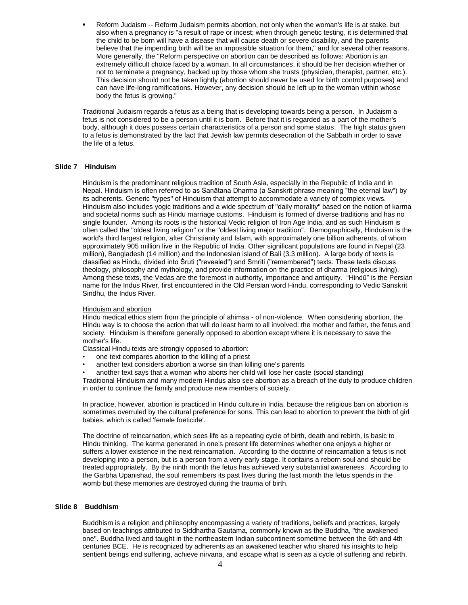Reform Judaism -- Reform Judaism permits abortion, not only when the woman's life is at stake, but also when a pregnancy is "a result of rape or incest; when through genetic testing, it is determined that the child to be born will have a disease that will cause death or severe disability, and the parents believe that the impending birth will be an impossible situation for them," and for several other reasons. More generally, the "Reform perspective on abortion can be described as follows: Abortion is an extremely difficult choice faced by a woman. In all circumstances, it should be her decision whether or not to terminate a pregnancy, backed up by those whom she trusts (physician, therapist, partner, etc.). This decision should not be taken lightly (abortion should never be used for birth control purposes) and can have life-long ramifications. However, any decision should be left up to the woman within whose body the fetus is growing."

Traditional Judaism regards a fetus as a being that is developing towards being a person. In Judaism a fetus is not considered to be a person until it is born. Before that it is regarded as a part of the mother's body, although it does possess certain characteristics of a person and some status. The high status given to a fetus is demonstrated by the fact that Jewish law permits desecration of the Sabbath in order to save the life of a fetus.

## **Slide 7 Hinduism**

Hinduism is the predominant religious tradition of South Asia, especially in the Republic of India and in Nepal. Hinduism is often referred to as Sanātana Dharma (a Sanskrit phrase meaning "the eternal law") by its adherents. Generic "types" of Hinduism that attempt to accommodate a variety of complex views. Hinduism also includes yogic traditions and a wide spectrum of "daily morality" based on the notion of karma and societal norms such as Hindu marriage customs. Hinduism is formed of diverse traditions and has no single founder. Among its roots is the historical Vedic religion of Iron Age India, and as such Hinduism is often called the "oldest living religion" or the "oldest living major tradition". Demographically, Hinduism is the world's third largest religion, after Christianity and Islam, with approximately one billion adherents, of whom approximately 905 million live in the Republic of India. Other significant populations are found in Nepal (23 million), Bangladesh (14 million) and the Indonesian island of Bali (3.3 million). A large body of texts is classified as Hindu, divided into Śruti ("revealed") and Smriti ("remembered") texts. These texts discuss theology, philosophy and mythology, and provide information on the practice of dharma (religious living). Among these texts, the Vedas are the foremost in authority, importance and antiquity. "Hindū" is the Persian name for the Indus River, first encountered in the Old Persian word Hindu, corresponding to Vedic Sanskrit Sindhu, the Indus River.

#### Hinduism and abortion

Hindu medical ethics stem from the principle of ahimsa - of non-violence. When considering abortion, the Hindu way is to choose the action that will do least harm to all involved: the mother and father, the fetus and society. Hinduism is therefore generally opposed to abortion except where it is necessary to save the mother's life.

Classical Hindu texts are strongly opposed to abortion:

- one text compares abortion to the killing of a priest
- another text considers abortion a worse sin than killing one's parents

• another text says that a woman who aborts her child will lose her caste (social standing)

Traditional Hinduism and many modern Hindus also see abortion as a breach of the duty to produce children in order to continue the family and produce new members of society.

In practice, however, abortion is practiced in Hindu culture in India, because the religious ban on abortion is sometimes overruled by the cultural preference for sons. This can lead to abortion to prevent the birth of girl babies, which is called 'female foeticide'.

The doctrine of reincarnation, which sees life as a repeating cycle of birth, death and rebirth, is basic to Hindu thinking. The karma generated in one's present life determines whether one enjoys a higher or suffers a lower existence in the next reincarnation. According to the doctrine of reincarnation a fetus is not developing into a person, but is a person from a very early stage. It contains a reborn soul and should be treated appropriately. By the ninth month the fetus has achieved very substantial awareness. According to the Garbha Upanishad, the soul remembers its past lives during the last month the fetus spends in the womb but these memories are destroyed during the trauma of birth.

#### **Slide 8 Buddhism**

Buddhism is a religion and philosophy encompassing a variety of traditions, beliefs and practices, largely based on teachings attributed to Siddhartha Gautama, commonly known as the Buddha, "the awakened one". Buddha lived and taught in the northeastern Indian subcontinent sometime between the 6th and 4th centuries BCE. He is recognized by adherents as an awakened teacher who shared his insights to help sentient beings end suffering, achieve nirvana, and escape what is seen as a cycle of suffering and rebirth.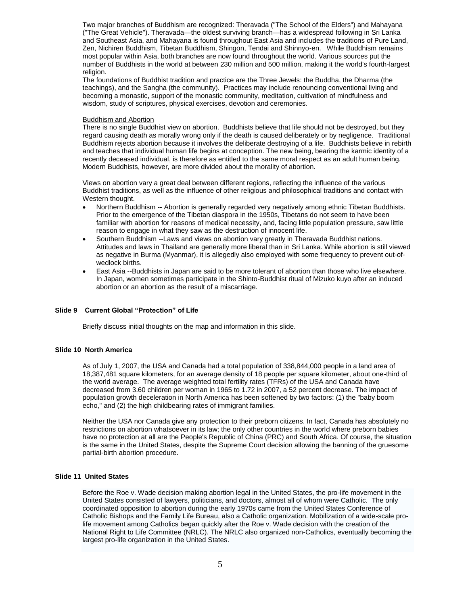Two major branches of Buddhism are recognized: Theravada ("The School of the Elders") and Mahayana ("The Great Vehicle"). Theravada—the oldest surviving branch—has a widespread following in Sri Lanka and Southeast Asia, and Mahayana is found throughout East Asia and includes the traditions of Pure Land, Zen, Nichiren Buddhism, Tibetan Buddhism, Shingon, Tendai and Shinnyo-en. While Buddhism remains most popular within Asia, both branches are now found throughout the world. Various sources put the number of Buddhists in the world at between 230 million and 500 million, making it the world's fourth-largest religion.

The foundations of Buddhist tradition and practice are the Three Jewels: the Buddha, the Dharma (the teachings), and the Sangha (the community). Practices may include renouncing conventional living and becoming a monastic, support of the monastic community, meditation, cultivation of mindfulness and wisdom, study of scriptures, physical exercises, devotion and ceremonies.

## Buddhism and Abortion

There is no single Buddhist view on abortion. Buddhists believe that life should not be destroyed, but they regard causing death as morally wrong only if the death is caused deliberately or by negligence. Traditional Buddhism rejects abortion because it involves the deliberate destroying of a life. Buddhists believe in rebirth and teaches that individual human life begins at conception. The new being, bearing the karmic identity of a recently deceased individual, is therefore as entitled to the same moral respect as an adult human being. Modern Buddhists, however, are more divided about the morality of abortion.

Views on abortion vary a great deal between different regions, reflecting the influence of the various Buddhist traditions, as well as the influence of other religious and philosophical traditions and contact with Western thought.

- Northern Buddhism -- Abortion is generally regarded very negatively among ethnic Tibetan Buddhists. Prior to the emergence of the Tibetan diaspora in the 1950s, Tibetans do not seem to have been familiar with abortion for reasons of medical necessity, and, facing little population pressure, saw little reason to engage in what they saw as the destruction of innocent life.
- Southern Buddhism --Laws and views on abortion vary greatly in Theravada Buddhist nations. Attitudes and laws in Thailand are generally more liberal than in Sri Lanka. While abortion is still viewed as negative in Burma (Myanmar), it is allegedly also employed with some frequency to prevent out-ofwedlock births.
- East Asia --Buddhists in Japan are said to be more tolerant of abortion than those who live elsewhere. In Japan, women sometimes participate in the Shinto-Buddhist ritual of Mizuko kuyo after an induced abortion or an abortion as the result of a miscarriage.

# **Slide 9 Current Global "Protection" of Life**

Briefly discuss initial thoughts on the map and information in this slide.

# **Slide 10 North America**

As of July 1, 2007, the USA and Canada had a total population of 338,844,000 people in a land area of 18,387,481 square kilometers, for an average density of 18 people per square kilometer, about one-third of the world average. The average weighted total fertility rates (TFRs) of the USA and Canada have decreased from 3.60 children per woman in 1965 to 1.72 in 2007, a 52 percent decrease. The impact of population growth deceleration in North America has been softened by two factors: (1) the "baby boom echo," and (2) the high childbearing rates of immigrant families.

Neither the USA nor Canada give any protection to their preborn citizens. In fact, Canada has absolutely no restrictions on abortion whatsoever in its law; the only other countries in the world where preborn babies have no protection at all are the People's Republic of China (PRC) and South Africa. Of course, the situation is the same in the United States, despite the Supreme Court decision allowing the banning of the gruesome partial-birth abortion procedure.

# **Slide 11 United States**

Before the [Roe v. Wade](http://en.wikipedia.org/wiki/Roe_v._Wade) decision making abortion legal in the United States, the pro-life movement in the United States consisted of lawyers, politicians, and doctors, almost all of whom were Catholic. The only coordinated opposition to abortion during the early 1970s came from the [United States Conference of](http://en.wikipedia.org/wiki/United_States_Conference_of_Catholic_Bishops)  [Catholic Bishops](http://en.wikipedia.org/wiki/United_States_Conference_of_Catholic_Bishops) and the [Family Life Bureau,](http://en.wikipedia.org/w/index.php?title=Family_Life_Bureau&action=edit&redlink=1) also a Catholic organization. Mobilization of a wide-scale prolife movement among Catholics began quickly after the Roe v. Wade decision with the creation of the [National Right to Life Committee](http://en.wikipedia.org/wiki/National_Right_to_Life_Committee) (NRLC). The NRLC also organized non-Catholics, eventually becoming the largest pro-life organization in the United States.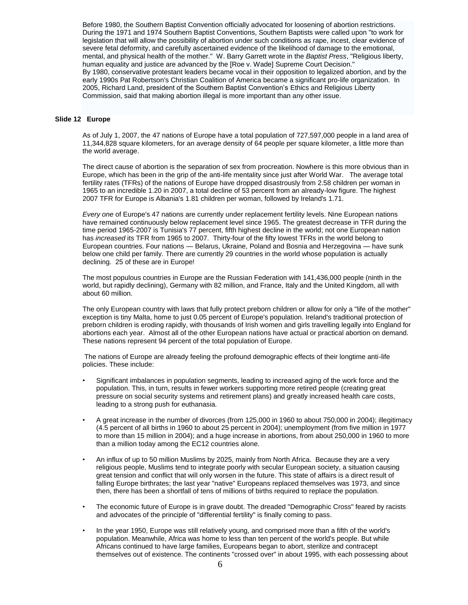Before 1980, the [Southern Baptist Convention](http://en.wikipedia.org/wiki/Southern_Baptist_Convention) officially advocated for loosening of abortion restrictions. During the 1971 and 1974 Southern Baptist Conventions, Southern Baptists were called upon "to work for legislation that will allow the possibility of abortion under such conditions as rape, incest, clear evidence of severe fetal deformity, and carefully ascertained evidence of the likelihood of damage to the emotional, mental, and physical health of the mother." W. Barry Garrett wrote in the *[Baptist Press](http://en.wikipedia.org/wiki/Baptist_Press)*, "Religious liberty, human equality and justice are advanced by the [Roe v. Wade] Supreme Court Decision." By 1980, conservative protestant leaders became vocal in their opposition to legalized abortion, and by the early 1990s [Pat Robertson's](http://en.wikipedia.org/wiki/Pat_Robertson) [Christian Coalition of America](http://en.wikipedia.org/wiki/Christian_Coalition_of_America) became a significant pro-life organization. In 2005, [Richard Land,](http://en.wikipedia.org/wiki/Richard_Land) president of the Southern Baptist Convention'[s Ethics and Religious Liberty](http://en.wikipedia.org/wiki/Ethics_and_Religious_Liberty_Commission)  [Commission,](http://en.wikipedia.org/wiki/Ethics_and_Religious_Liberty_Commission) said that making abortion illegal is more important than any other issue.

## **Slide 12 Europe**

As of July 1, 2007, the 47 nations of Europe have a total population of 727,597,000 people in a land area of 11,344,828 square kilometers, for an average density of 64 people per square kilometer, a little more than the world average.

The direct cause of abortion is the separation of sex from procreation. Nowhere is this more obvious than in Europe, which has been in the grip of the anti-life mentality since just after World War. The average total fertility rates (TFRs) of the nations of Europe have dropped disastrously from 2.58 children per woman in 1965 to an incredible 1.20 in 2007, a total decline of 53 percent from an already-low figure. The highest 2007 TFR for Europe is Albania's 1.81 children per woman, followed by Ireland's 1.71.

*Every one* of Europe's 47 nations are currently under replacement fertility levels. Nine European nations have remained continuously below replacement level since 1965. The greatest decrease in TFR during the time period 1965-2007 is Tunisia's 77 percent, fifth highest decline in the world; not one European nation has *increased* its TFR from 1965 to 2007. Thirty-four of the fifty lowest TFRs in the world belong to European countries. Four nations — Belarus, Ukraine, Poland and Bosnia and Herzegovina — have sunk below one child per family. There are currently 29 countries in the world whose population is actually declining. 25 of these are in Europe!

The most populous countries in Europe are the Russian Federation with 141,436,000 people (ninth in the world, but rapidly declining), Germany with 82 million, and France, Italy and the United Kingdom, all with about 60 million.

The only European country with laws that fully protect preborn children or allow for only a "life of the mother" exception is tiny Malta, home to just 0.05 percent of Europe's population. Ireland's traditional protection of preborn children is eroding rapidly, with thousands of Irish women and girls travelling legally into England for abortions each year. Almost all of the other European nations have actual or practical abortion on demand. These nations represent 94 percent of the total population of Europe.

The nations of Europe are already feeling the profound demographic effects of their longtime anti-life policies. These include:

- Significant imbalances in population segments, leading to increased aging of the work force and the population. This, in turn, results in fewer workers supporting more retired people (creating great pressure on social security systems and retirement plans) and greatly increased health care costs, leading to a strong push for euthanasia.
- A great increase in the number of divorces (from 125,000 in 1960 to about 750,000 in 2004); illegitimacy (4.5 percent of all births in 1960 to about 25 percent in 2004); unemployment (from five million in 1977 to more than 15 million in 2004); and a huge increase in abortions, from about 250,000 in 1960 to more than a million today among the EC12 countries alone.
- An influx of up to 50 million Muslims by 2025, mainly from North Africa. Because they are a very religious people, Muslims tend to integrate poorly with secular European society, a situation causing great tension and conflict that will only worsen in the future. This state of affairs is a direct result of falling Europe birthrates; the last year "native" Europeans replaced themselves was 1973, and since then, there has been a shortfall of tens of millions of births required to replace the population.
- The economic future of Europe is in grave doubt. The dreaded "Demographic Cross" feared by racists and advocates of the principle of "differential fertility" is finally coming to pass.
- In the year 1950, Europe was still relatively young, and comprised more than a fifth of the world's population. Meanwhile, Africa was home to less than ten percent of the world's people. But while Africans continued to have large families, Europeans began to abort, sterilize and contracept themselves out of existence. The continents "crossed over" in about 1995, with each possessing about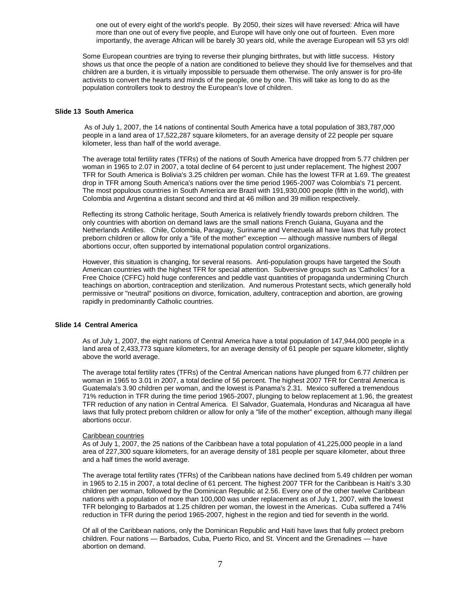one out of every eight of the world's people. By 2050, their sizes will have reversed: Africa will have more than one out of every five people, and Europe will have only one out of fourteen. Even more importantly, the average African will be barely 30 years old, while the average European will 53 yrs old!

Some European countries are trying to reverse their plunging birthrates, but with little success. History shows us that once the people of a nation are conditioned to believe they should live for themselves and that children are a burden, it is virtually impossible to persuade them otherwise. The only answer is for pro-life activists to convert the hearts and minds of the people, one by one. This will take as long to do as the population controllers took to destroy the European's love of children.

## **Slide 13 South America**

As of July 1, 2007, the 14 nations of continental South America have a total population of 383,787,000 people in a land area of 17,522,287 square kilometers, for an average density of 22 people per square kilometer, less than half of the world average.

The average total fertility rates (TFRs) of the nations of South America have dropped from 5.77 children per woman in 1965 to 2.07 in 2007, a total decline of 64 percent to just under replacement. The highest 2007 TFR for South America is Bolivia's 3.25 children per woman. Chile has the lowest TFR at 1.69. The greatest drop in TFR among South America's nations over the time period 1965-2007 was Colombia's 71 percent. The most populous countries in South America are Brazil with 191,930,000 people (fifth in the world), with Colombia and Argentina a distant second and third at 46 million and 39 million respectively.

Reflecting its strong Catholic heritage, South America is relatively friendly towards preborn children. The only countries with abortion on demand laws are the small nations French Guiana, Guyana and the Netherlands Antilles. Chile, Colombia, Paraguay, Suriname and Venezuela all have laws that fully protect preborn children or allow for only a "life of the mother" exception — although massive numbers of illegal abortions occur, often supported by international population control organizations.

However, this situation is changing, for several reasons. Anti-population groups have targeted the South American countries with the highest TFR for special attention. Subversive groups such as 'Catholics' for a Free Choice (CFFC) hold huge conferences and peddle vast quantities of propaganda undermining Church teachings on abortion, contraception and sterilization. And numerous Protestant sects, which generally hold permissive or "neutral" positions on divorce, fornication, adultery, contraception and abortion, are growing rapidly in predominantly Catholic countries.

#### **Slide 14 Central America**

As of July 1, 2007, the eight nations of Central America have a total population of 147,944,000 people in a land area of 2,433,773 square kilometers, for an average density of 61 people per square kilometer, slightly above the world average.

The average total fertility rates (TFRs) of the Central American nations have plunged from 6.77 children per woman in 1965 to 3.01 in 2007, a total decline of 56 percent. The highest 2007 TFR for Central America is Guatemala's 3.90 children per woman, and the lowest is Panama's 2.31. Mexico suffered a tremendous 71% reduction in TFR during the time period 1965-2007, plunging to below replacement at 1.96, the greatest TFR reduction of any nation in Central America. El Salvador, Guatemala, Honduras and Nicaragua all have laws that fully protect preborn children or allow for only a "life of the mother" exception, although many illegal abortions occur.

#### Caribbean countries

As of July 1, 2007, the 25 nations of the Caribbean have a total population of 41,225,000 people in a land area of 227,300 square kilometers, for an average density of 181 people per square kilometer, about three and a half times the world average.

The average total fertility rates (TFRs) of the Caribbean nations have declined from 5.49 children per woman in 1965 to 2.15 in 2007, a total decline of 61 percent. The highest 2007 TFR for the Caribbean is Haiti's 3.30 children per woman, followed by the Dominican Republic at 2.56. Every one of the other twelve Caribbean nations with a population of more than 100,000 was under replacement as of July 1, 2007, with the lowest TFR belonging to Barbados at 1.25 children per woman, the lowest in the Americas. Cuba suffered a 74% reduction in TFR during the period 1965-2007, highest in the region and tied for seventh in the world.

Of all of the Caribbean nations, only the Dominican Republic and Haiti have laws that fully protect preborn children. Four nations — Barbados, Cuba, Puerto Rico, and St. Vincent and the Grenadines — have abortion on demand.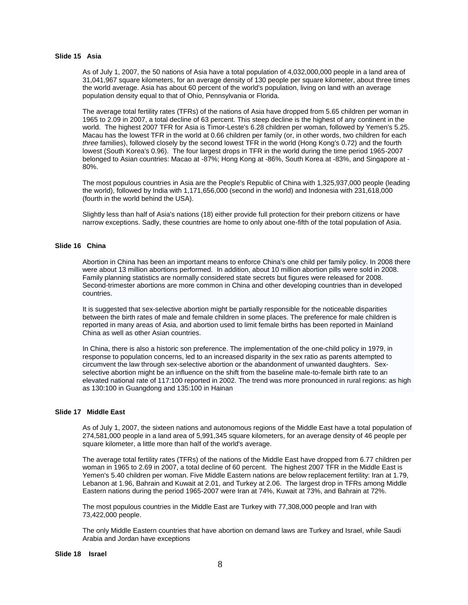## **Slide 15 Asia**

As of July 1, 2007, the 50 nations of Asia have a total population of 4,032,000,000 people in a land area of 31,041,967 square kilometers, for an average density of 130 people per square kilometer, about three times the world average. Asia has about 60 percent of the world's population, living on land with an average population density equal to that of Ohio, Pennsylvania or Florida.

The average total fertility rates (TFRs) of the nations of Asia have dropped from 5.65 children per woman in 1965 to 2.09 in 2007, a total decline of 63 percent. This steep decline is the highest of any continent in the world. The highest 2007 TFR for Asia is Timor-Leste's 6.28 children per woman, followed by Yemen's 5.25. Macau has the lowest TFR in the world at 0.66 children per family (or, in other words, two children for each *three* families), followed closely by the second lowest TFR in the world (Hong Kong's 0.72) and the fourth lowest (South Korea's 0.96). The four largest drops in TFR in the world during the time period 1965-2007 belonged to Asian countries: Macao at -87%; Hong Kong at -86%, South Korea at -83%, and Singapore at - 80%.

The most populous countries in Asia are the People's Republic of China with 1,325,937,000 people (leading the world), followed by India with 1,171,656,000 (second in the world) and Indonesia with 231,618,000 (fourth in the world behind the USA).

Slightly less than half of Asia's nations (18) either provide full protection for their preborn citizens or have narrow exceptions. Sadly, these countries are home to only about one-fifth of the total population of Asia.

# **Slide 16 China**

Abortion in China has been an important means to enforc[e China's](http://en.wikipedia.org/wiki/People%27s_Republic_of_China) [one child per family policy.](http://en.wikipedia.org/wiki/One-child_policy) In 2008 there were about 13 million abortions performed. In addition, about 10 million abortion pills were sold in 2008. Family planning statistics are normally considered state secrets but figures were released for 2008. Second-trimester abortions are more common in China and other developing countries than in developed countries.

It is suggested that sex-selective abortion might be partially responsible for the noticeable disparities between th[e birth rates](http://en.wikipedia.org/wiki/Birth_rate) of male and female children in some places. The preference for male children is reported in many areas of Asia, and abortion used to limit female births has been reported in [Mainland](http://en.wikipedia.org/wiki/Mainland_China)  [China](http://en.wikipedia.org/wiki/Mainland_China) as well as other Asian countries.

In China, there is also a historic son preference. The implementation of the [one-child policy](http://en.wikipedia.org/wiki/One-child_policy) in 1979, in response to population concerns, led to an increased disparity in the sex ratio as parents attempted to circumvent the law through sex-selective abortion or the abandonment of unwanted daughters. Sexselective abortion might be an influence on the shift from the baseline male-to-female birth rate to an elevated national rate of 117:100 reported in 2002. The trend was more pronounced in rural regions: as high as 130:100 i[n Guangdong](http://en.wikipedia.org/wiki/Guangdong) and 135:100 in [Hainan](http://en.wikipedia.org/wiki/Hainan)

## **Slide 17 Middle East**

As of July 1, 2007, the sixteen nations and autonomous regions of the Middle East have a total population of 274,581,000 people in a land area of 5,991,345 square kilometers, for an average density of 46 people per square kilometer, a little more than half of the world's average.

The average total fertility rates (TFRs) of the nations of the Middle East have dropped from 6.77 children per woman in 1965 to 2.69 in 2007, a total decline of 60 percent. The highest 2007 TFR in the Middle East is Yemen's 5.40 children per woman. Five Middle Eastern nations are below replacement fertility: Iran at 1.79, Lebanon at 1.96, Bahrain and Kuwait at 2.01, and Turkey at 2.06. The largest drop in TFRs among Middle Eastern nations during the period 1965-2007 were Iran at 74%, Kuwait at 73%, and Bahrain at 72%.

The most populous countries in the Middle East are Turkey with 77,308,000 people and Iran with 73,422,000 people.

The only Middle Eastern countries that have abortion on demand laws are Turkey and Israel, while Saudi Arabia and Jordan have exceptions

#### **Slide 18 Israel**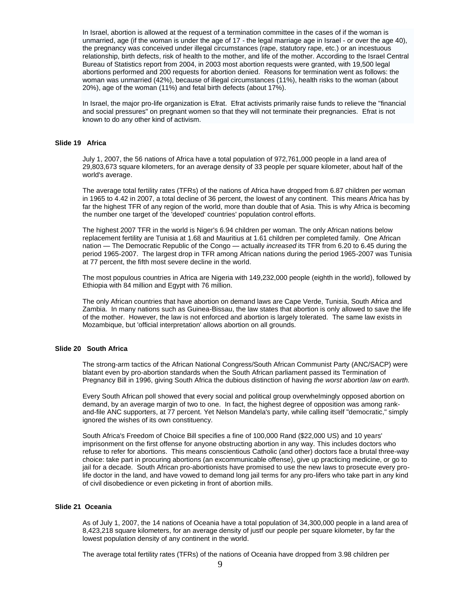In Israel, [abortion is allowed](http://en.wikipedia.org/wiki/Abortion_in_Israel) at the request of a termination committee in the cases of if the woman is unmarried, age (if the woman is under the age of 17 - the legal marriage age in Israel - or over the age 40), the pregnancy was conceived under illegal circumstances (rape, statutory rape, etc.) or an incestuous relationship, [birth defects,](http://en.wikipedia.org/wiki/Birth_defects) risk of health to the mother, and life of the mother. According to the Israel Central Bureau of Statistics report from 2004, in 2003 most abortion requests were granted, with 19,500 legal abortions performed and 200 requests for abortion denied. Reasons for termination went as follows: the woman was unmarried (42%), because of illegal circumstances (11%), health risks to the woman (about 20%), age of the woman (11%) and fetal birth defects (about 17%).

In Israel, the major pro-life organization i[s Efrat.](http://en.wikipedia.org/wiki/Efrat_(organization)) Efrat activists primarily raise funds to relieve the "financial and social pressures" on pregnant women so that they will not terminate their pregnancies. Efrat is not known to do any other kind of activism.

# **Slide 19 Africa**

July 1, 2007, the 56 nations of Africa have a total population of 972,761,000 people in a land area of 29,803,673 square kilometers, for an average density of 33 people per square kilometer, about half of the world's average.

The average total fertility rates (TFRs) of the nations of Africa have dropped from 6.87 children per woman in 1965 to 4.42 in 2007, a total decline of 36 percent, the lowest of any continent. This means Africa has by far the highest TFR of any region of the world, more than double that of Asia. This is why Africa is becoming the number one target of the 'developed' countries' population control efforts.

The highest 2007 TFR in the world is Niger's 6.94 children per woman. The only African nations below replacement fertility are Tunisia at 1.68 and Mauritius at 1.61 children per completed family. One African nation — The Democratic Republic of the Congo — actually *increased* its TFR from 6.20 to 6.45 during the period 1965-2007. The largest drop in TFR among African nations during the period 1965-2007 was Tunisia at 77 percent, the fifth most severe decline in the world.

The most populous countries in Africa are Nigeria with 149,232,000 people (eighth in the world), followed by Ethiopia with 84 million and Egypt with 76 million.

The only African countries that have abortion on demand laws are Cape Verde, Tunisia, South Africa and Zambia. In many nations such as Guinea-Bissau, the law states that abortion is only allowed to save the life of the mother. However, the law is not enforced and abortion is largely tolerated. The same law exists in Mozambique, but 'official interpretation' allows abortion on all grounds.

#### **Slide 20 South Africa**

The strong-arm tactics of the African National Congress/South African Communist Party (ANC/SACP) were blatant even by pro-abortion standards when the South African parliament passed its Termination of Pregnancy Bill in 1996, giving South Africa the dubious distinction of having *the worst abortion law on earth.*

Every South African poll showed that every social and political group overwhelmingly opposed abortion on demand, by an average margin of two to one. In fact, the highest degree of opposition was among rankand-file ANC supporters, at 77 percent. Yet Nelson Mandela's party, while calling itself "democratic," simply ignored the wishes of its own constituency.

South Africa's Freedom of Choice Bill specifies a fine of 100,000 Rand (\$22,000 US) and 10 years' imprisonment on the first offense for anyone obstructing abortion in any way. This includes doctors who refuse to refer for abortions. This means conscientious Catholic (and other) doctors face a brutal three-way choice: take part in procuring abortions (an excommunicable offense), give up practicing medicine, or go to jail for a decade. South African pro-abortionists have promised to use the new laws to prosecute every prolife doctor in the land, and have vowed to demand long jail terms for any pro-lifers who take part in any kind of civil disobedience or even picketing in front of abortion mills.

#### **Slide 21 Oceania**

As of July 1, 2007, the 14 nations of Oceania have a total population of 34,300,000 people in a land area of 8,423,218 square kilometers, for an average density of justf our people per square kilometer, by far the lowest population density of any continent in the world.

The average total fertility rates (TFRs) of the nations of Oceania have dropped from 3.98 children per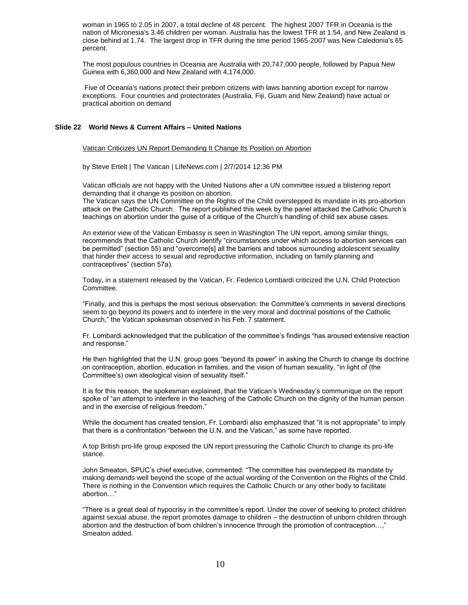woman in 1965 to 2.05 in 2007, a total decline of 48 percent. The highest 2007 TFR in Oceania is the nation of Micronesia's 3.46 children per woman. Australia has the lowest TFR at 1.54, and New Zealand is close behind at 1.74. The largest drop in TFR during the time period 1965-2007 was New Caledonia's 65 percent.

The most populous countries in Oceania are Australia with 20,747,000 people, followed by Papua New Guinea with 6,360,000 and New Zealand with 4,174,000.

Five of Oceania's nations protect their preborn citizens with laws banning abortion except for narrow exceptions. Four countries and protectorates (Australia, Fiji, Guam and New Zealand) have actual or practical abortion on demand

## **Slide 22 World News & Current Affairs – United Nations**

Vatican Criticizes UN Report Demanding It Change Its Position on Abortion

by Steve Ertelt | The Vatican | LifeNews.com | 2/7/2014 12:36 PM

Vatican officials are not happy with the United Nations after a UN committee issued a blistering report demanding that it change its position on abortion.

The Vatican says the UN Committee on the Rights of the Child overstepped its mandate in its pro-abortion attack on the Catholic Church. The report published this week by the panel attacked the Catholic Church's teachings on abortion under the guise of a critique of the Church's handling of child sex abuse cases.

An exterior view of the Vatican Embassy is seen in Washington The UN report, among similar things, recommends that the Catholic Church identify "circumstances under which access to abortion services can be permitted" (section 55) and "overcome[s] all the barriers and taboos surrounding adolescent sexuality that hinder their access to sexual and reproductive information, including on family planning and contraceptives" (section 57a).

Today, in a statement released by the Vatican, Fr. Federico Lombardi criticized the U.N. Child Protection Committee.

"Finally, and this is perhaps the most serious observation: the Committee's comments in several directions seem to go beyond its powers and to interfere in the very moral and doctrinal positions of the Catholic Church," the Vatican spokesman observed in his Feb. 7 statement.

Fr. Lombardi acknowledged that the publication of the committee's findings "has aroused extensive reaction and response."

He then highlighted that the U.N. group goes "beyond its power" in asking the Church to change its doctrine on contraception, abortion, education in families, and the vision of human sexuality, "in light of (the Committee's) own ideological vision of sexuality itself."

It is for this reason, the spokesman explained, that the Vatican's Wednesday's communique on the report spoke of "an attempt to interfere in the teaching of the Catholic Church on the dignity of the human person and in the exercise of religious freedom."

While the document has created tension, Fr. Lombardi also emphasized that "it is not appropriate" to imply that there is a confrontation "between the U.N. and the Vatican," as some have reported.

A top British pro-life group exposed the UN report pressuring the Catholic Church to change its pro-life stance.

John Smeaton, SPUC's chief executive, commented: "The committee has overstepped its mandate by making demands well beyond the scope of the actual wording of the Convention on the Rights of the Child. There is nothing in the Convention which requires the Catholic Church or any other body to facilitate abortion…"

"There is a great deal of hypocrisy in the committee's report. Under the cover of seeking to protect children against sexual abuse, the report promotes damage to children – the destruction of unborn children through abortion and the destruction of born children's innocence through the promotion of contraception…," Smeaton added.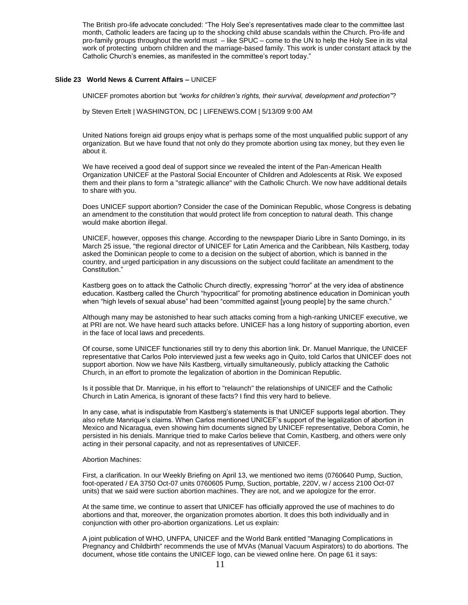The British pro-life advocate concluded: "The Holy See's representatives made clear to the committee last month, Catholic leaders are facing up to the shocking child abuse scandals within the Church. Pro-life and pro-family groups throughout the world must – like SPUC – come to the UN to help the Holy See in its vital work of protecting unborn children and the marriage-based family. This work is under constant attack by the Catholic Church's enemies, as manifested in the committee's report today."

## **Slide 23 World News & Current Affairs –** UNICEF

UNICEF promotes abortion but *"works for children's rights, their survival, development and protection"*?

by Steven Ertelt | WASHINGTON, DC | LIFENEWS.COM | 5/13/09 9:00 AM

United Nations foreign aid groups enjoy what is perhaps some of the most unqualified public support of any organization. But we have found that not only do they promote abortion using tax money, but they even lie about it.

We have received a good deal of support since we revealed the intent of the Pan-American Health Organization UNICEF at the Pastoral Social Encounter of Children and Adolescents at Risk. We exposed them and their plans to form a "strategic alliance" with the Catholic Church. We now have additional details to share with you.

Does UNICEF support abortion? Consider the case of the Dominican Republic, whose Congress is debating an amendment to the constitution that would protect life from conception to natural death. This change would make abortion illegal.

UNICEF, however, opposes this change. According to the newspaper Diario Libre in Santo Domingo, in its March 25 issue, "the regional director of UNICEF for Latin America and the Caribbean, Nils Kastberg, today asked the Dominican people to come to a decision on the subject of abortion, which is banned in the country, and urged participation in any discussions on the subject could facilitate an amendment to the Constitution."

Kastberg goes on to attack the Catholic Church directly, expressing "horror" at the very idea of abstinence education. Kastberg called the Church "hypocritical" for promoting abstinence education in Dominican youth when "high levels of sexual abuse" had been "committed against [young people] by the same church."

Although many may be astonished to hear such attacks coming from a high-ranking UNICEF executive, we at PRI are not. We have heard such attacks before. UNICEF has a long history of supporting abortion, even in the face of local laws and precedents.

Of course, some UNICEF functionaries still try to deny this abortion link. Dr. Manuel Manrique, the UNICEF representative that Carlos Polo interviewed just a few weeks ago in Quito, told Carlos that UNICEF does not support abortion. Now we have Nils Kastberg, virtually simultaneously, publicly attacking the Catholic Church, in an effort to promote the legalization of abortion in the Dominican Republic.

Is it possible that Dr. Manrique, in his effort to "relaunch" the relationships of UNICEF and the Catholic Church in Latin America, is ignorant of these facts? I find this very hard to believe.

In any case, what is indisputable from Kastberg's statements is that UNICEF supports legal abortion. They also refute Manrique's claims. When Carlos mentioned UNICEF's support of the legalization of abortion in Mexico and Nicaragua, even showing him documents signed by UNICEF representative, Debora Comin, he persisted in his denials. Manrique tried to make Carlos believe that Comin, Kastberg, and others were only acting in their personal capacity, and not as representatives of UNICEF.

#### Abortion Machines:

First, a clarification. In our Weekly Briefing on April 13, we mentioned two items (0760640 Pump, Suction, foot-operated / EA 3750 Oct-07 units 0760605 Pump, Suction, portable, 220V, w / access 2100 Oct-07 units) that we said were suction abortion machines. They are not, and we apologize for the error.

At the same time, we continue to assert that UNICEF has officially approved the use of machines to do abortions and that, moreover, the organization promotes abortion. It does this both individually and in conjunction with other pro-abortion organizations. Let us explain:

A joint publication of WHO, UNFPA, UNICEF and the World Bank entitled "Managing Complications in Pregnancy and Childbirth" recommends the use of MVAs (Manual Vacuum Aspirators) to do abortions. The document, whose title contains the UNICEF logo, can be viewed online here. On page 61 it says: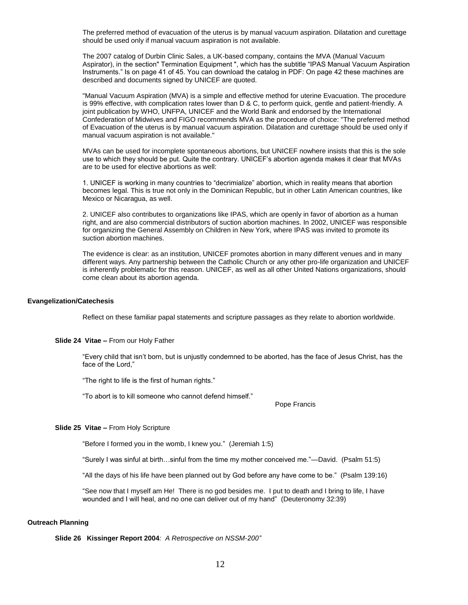The preferred method of evacuation of the uterus is by manual vacuum aspiration. Dilatation and curettage should be used only if manual vacuum aspiration is not available.

The 2007 catalog of Durbin Clinic Sales, a UK-based company, contains the MVA (Manual Vacuum Aspirator), in the section" Termination Equipment ", which has the subtitle "IPAS Manual Vacuum Aspiration Instruments." Is on page 41 of 45. You can download the catalog in PDF: On page 42 these machines are described and documents signed by UNICEF are quoted.

"Manual Vacuum Aspiration (MVA) is a simple and effective method for uterine Evacuation. The procedure is 99% effective, with complication rates lower than D & C, to perform quick, gentle and patient-friendly. A joint publication by WHO, UNFPA, UNICEF and the World Bank and endorsed by the International Confederation of Midwives and FIGO recommends MVA as the procedure of choice: "The preferred method of Evacuation of the uterus is by manual vacuum aspiration. Dilatation and curettage should be used only if manual vacuum aspiration is not available."

MVAs can be used for incomplete spontaneous abortions, but UNICEF nowhere insists that this is the sole use to which they should be put. Quite the contrary. UNICEF's abortion agenda makes it clear that MVAs are to be used for elective abortions as well:

1. UNICEF is working in many countries to "decrimialize" abortion, which in reality means that abortion becomes legal. This is true not only in the Dominican Republic, but in other Latin American countries, like Mexico or Nicaragua, as well.

2. UNICEF also contributes to organizations like IPAS, which are openly in favor of abortion as a human right, and are also commercial distributors of suction abortion machines. In 2002, UNICEF was responsible for organizing the General Assembly on Children in New York, where IPAS was invited to promote its suction abortion machines.

The evidence is clear: as an institution, UNICEF promotes abortion in many different venues and in many different ways. Any partnership between the Catholic Church or any other pro-life organization and UNICEF is inherently problematic for this reason. UNICEF, as well as all other United Nations organizations, should come clean about its abortion agenda.

#### **Evangelization/Catechesis**

Reflect on these familiar papal statements and scripture passages as they relate to abortion worldwide.

#### **Slide 24 Vitae –** From our Holy Father

"Every child that isn't born, but is unjustly condemned to be aborted, has the face of Jesus Christ, has the face of the Lord,"

"The right to life is the first of human rights."

"To abort is to kill someone who cannot defend himself."

Pope Francis

## **Slide 25 Vitae –** From Holy Scripture

"Before I formed you in the womb, I knew you." (Jeremiah 1:5)

"Surely I was sinful at birth…sinful from the time my mother conceived me."—David. (Psalm 51:5)

"All the days of his life have been planned out by God before any have come to be." (Psalm 139:16)

"See now that I myself am He! There is no god besides me. I put to death and I bring to life, I have wounded and I will heal, and no one can deliver out of my hand" (Deuteronomy 32:39)

#### **Outreach Planning**

**Slide 26 Kissinger Report 2004***: A Retrospective on NSSM-200"*